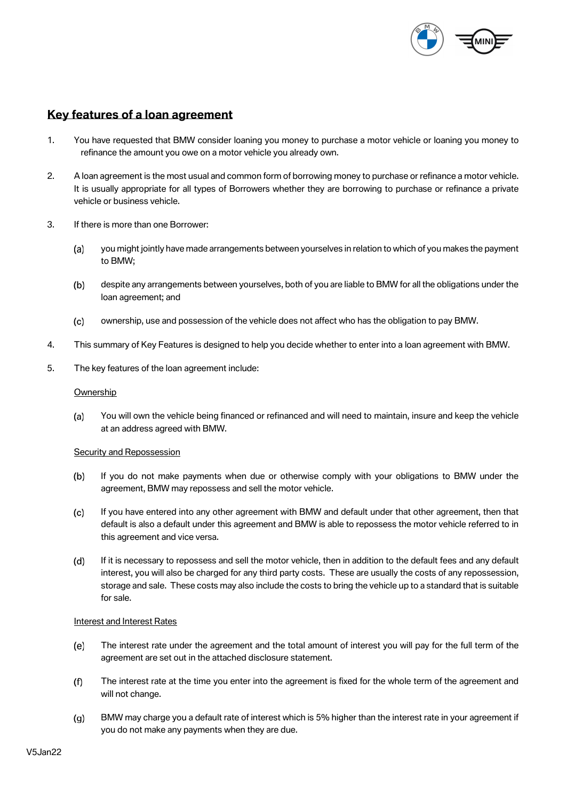

# **Key features of a loan agreement**

- 1. You have requested that BMW consider loaning you money to purchase a motor vehicle or loaning you money to refinance the amount you owe on a motor vehicle you already own.
- 2. A loan agreement is the most usual and common form of borrowing money to purchase or refinance a motor vehicle. It is usually appropriate for all types of Borrowers whether they are borrowing to purchase or refinance a private vehicle or business vehicle.
- 3. If there is more than one Borrower:
	- $(a)$ you might jointly have made arrangements between yourselves in relation to which of you makes the payment to BMW;
	- $(b)$ despite any arrangements between yourselves, both of you are liable to BMW for all the obligations under the loan agreement; and
	- ownership, use and possession of the vehicle does not affect who has the obligation to pay BMW.  $(c)$
- 4. This summary of Key Features is designed to help you decide whether to enter into a loan agreement with BMW.
- 5. The key features of the loan agreement include:

## **Ownership**

 $(a)$ You will own the vehicle being financed or refinanced and will need to maintain, insure and keep the vehicle at an address agreed with BMW.

## Security and Repossession

- $(b)$ If you do not make payments when due or otherwise comply with your obligations to BMW under the agreement, BMW may repossess and sell the motor vehicle.
- If you have entered into any other agreement with BMW and default under that other agreement, then that  $(c)$ default is also a default under this agreement and BMW is able to repossess the motor vehicle referred to in this agreement and vice versa.
- $(d)$ If it is necessary to repossess and sell the motor vehicle, then in addition to the default fees and any default interest, you will also be charged for any third party costs. These are usually the costs of any repossession, storage and sale. These costs may also include the costs to bring the vehicle up to a standard that is suitable for sale.

## Interest and Interest Rates

- $(e)$ The interest rate under the agreement and the total amount of interest you will pay for the full term of the agreement are set out in the attached disclosure statement.
- $(f)$ The interest rate at the time you enter into the agreement is fixed for the whole term of the agreement and will not change.
- BMW may charge you a default rate of interest which is 5% higher than the interest rate in your agreement if  $(q)$ you do not make any payments when they are due.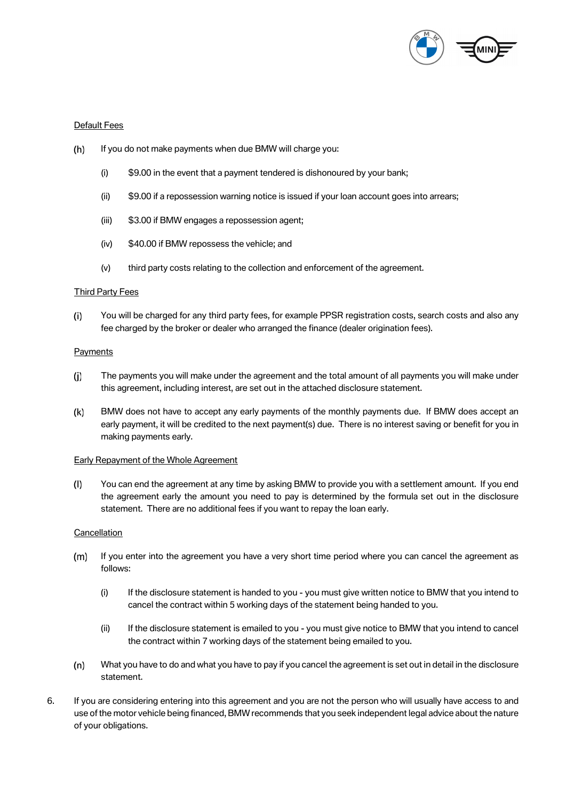

## Default Fees

- $(h)$ If you do not make payments when due BMW will charge you:
	- (i) \$9.00 in the event that a payment tendered is dishonoured by your bank;
	- (ii) \$9.00 if a repossession warning notice is issued if your loan account goes into arrears;
	- (iii) \$3.00 if BMW engages a repossession agent;
	- (iv) \$40.00 if BMW repossess the vehicle; and
	- (v) third party costs relating to the collection and enforcement of the agreement.

#### Third Party Fees

 $(i)$ You will be charged for any third party fees, for example PPSR registration costs, search costs and also any fee charged by the broker or dealer who arranged the finance (dealer origination fees).

#### **Payments**

- The payments you will make under the agreement and the total amount of all payments you will make under  $(i)$ this agreement, including interest, are set out in the attached disclosure statement.
- $(k)$ BMW does not have to accept any early payments of the monthly payments due. If BMW does accept an early payment, it will be credited to the next payment(s) due. There is no interest saving or benefit for you in making payments early.

#### Early Repayment of the Whole Agreement

You can end the agreement at any time by asking BMW to provide you with a settlement amount. If you end  $(1)$ the agreement early the amount you need to pay is determined by the formula set out in the disclosure statement. There are no additional fees if you want to repay the loan early.

#### **Cancellation**

- If you enter into the agreement you have a very short time period where you can cancel the agreement as  $(m)$ follows:
	- (i) If the disclosure statement is handed to you you must give written notice to BMW that you intend to cancel the contract within 5 working days of the statement being handed to you.
	- (ii) If the disclosure statement is emailed to you you must give notice to BMW that you intend to cancel the contract within 7 working days of the statement being emailed to you.
- $(n)$ What you have to do and what you have to pay if you cancel the agreement is set out in detail in the disclosure statement.
- 6. If you are considering entering into this agreement and you are not the person who will usually have access to and use of the motor vehicle being financed, BMW recommends that you seek independent legal advice about the nature of your obligations.